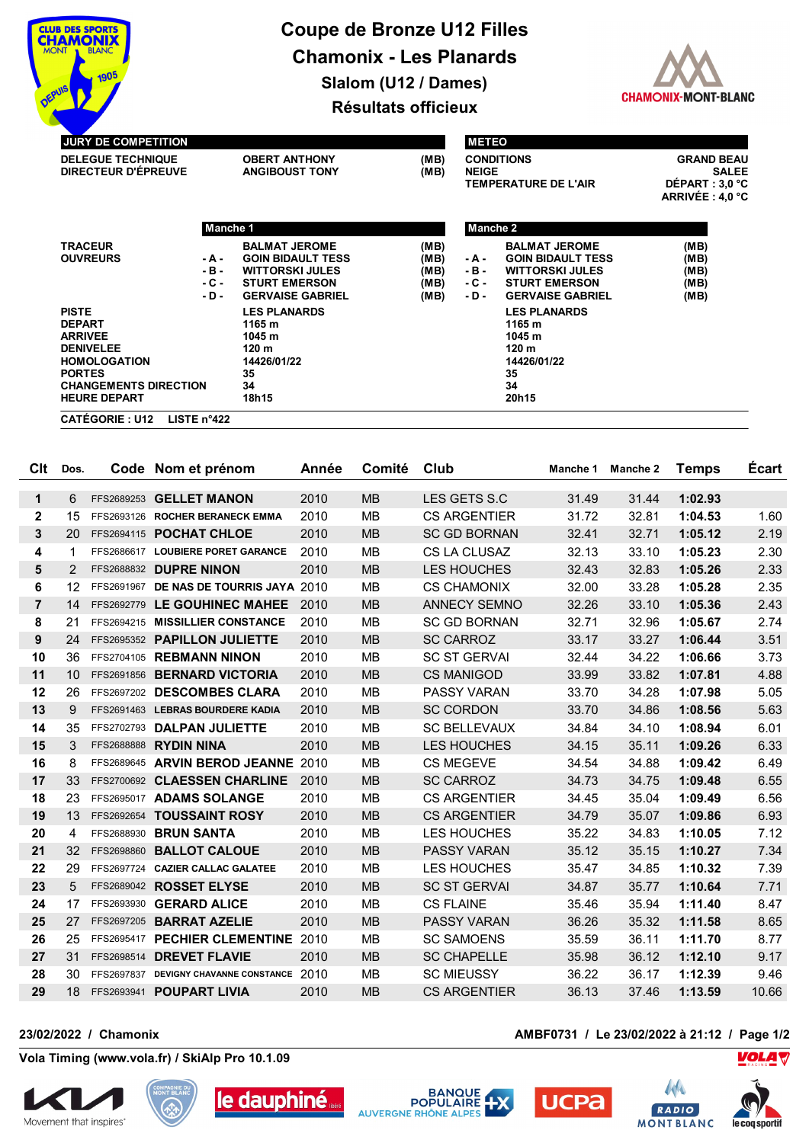

## **Coupe de Bronze U12 Filles Chamonix - Les Planards Slalom (U12 / Dames)**



**Résultats officieux**

| <b>DELEGUE TECHNIQUE</b><br><b>DIRECTEUR D'ÉPREUVE</b> |          | <b>OBERT ANTHONY</b><br><b>ANGIBOUST TONY</b> |      | <b>NEIGE</b> | <b>CONDITIONS</b><br><b>TEMPERATURE DE L'AIR</b> | <b>GRAND BEAU</b><br><b>SALEE</b><br>DÉPART : 3.0 °C<br>ARRIVÉE : 4,0 °C |  |
|--------------------------------------------------------|----------|-----------------------------------------------|------|--------------|--------------------------------------------------|--------------------------------------------------------------------------|--|
|                                                        | Manche 1 |                                               |      | Manche 2     |                                                  |                                                                          |  |
| <b>TRACEUR</b>                                         |          | <b>BALMAT JEROME</b>                          | (MB) |              | <b>BALMAT JEROME</b>                             | (MB)                                                                     |  |
| <b>OUVREURS</b>                                        | - A -    | <b>GOIN BIDAULT TESS</b>                      | (MB) | - A -        | <b>GOIN BIDAULT TESS</b>                         | (MB)                                                                     |  |
|                                                        | $-B -$   | <b>WITTORSKI JULES</b>                        | (MB) | $-B -$       | <b>WITTORSKI JULES</b>                           | (MB)                                                                     |  |
|                                                        | $-C -$   | <b>STURT EMERSON</b>                          | (MB) | $-C -$       | <b>STURT EMERSON</b>                             | (MB)                                                                     |  |
|                                                        | $-D -$   | <b>GERVAISE GABRIEL</b>                       | (MB) | - D -        | <b>GERVAISE GABRIEL</b>                          | (MB)                                                                     |  |
| <b>PISTE</b>                                           |          | <b>LES PLANARDS</b>                           |      |              | <b>LES PLANARDS</b>                              |                                                                          |  |
| <b>DEPART</b>                                          |          | 1165 m                                        |      |              | 1165 m                                           |                                                                          |  |
| <b>ARRIVEE</b>                                         |          | 1045 m                                        |      |              | 1045 m                                           |                                                                          |  |
| <b>DENIVELEE</b>                                       |          | 120 <sub>m</sub>                              |      |              | 120 m                                            |                                                                          |  |
| <b>HOMOLOGATION</b>                                    |          | 14426/01/22                                   |      |              | 14426/01/22                                      |                                                                          |  |
| <b>PORTES</b>                                          |          | 35                                            |      |              | 35                                               |                                                                          |  |
| <b>CHANGEMENTS DIRECTION</b>                           | 34       |                                               |      | 34           |                                                  |                                                                          |  |
| <b>HEURE DEPART</b>                                    |          | 18h15                                         |      |              | 20h15                                            |                                                                          |  |

| Clt            | Dos. | Code Nom et prénom                         | Année | Comité    | Club                | Manche 1 | Manche 2 | <b>Temps</b> | <b>Écart</b> |
|----------------|------|--------------------------------------------|-------|-----------|---------------------|----------|----------|--------------|--------------|
| $\mathbf 1$    | 6    | FFS2689253 GELLET MANON                    | 2010  | <b>MB</b> | LES GETS S.C        | 31.49    | 31.44    | 1:02.93      |              |
| $\mathbf{2}$   | 15   | FFS2693126 ROCHER BERANECK EMMA            | 2010  | <b>MB</b> | <b>CS ARGENTIER</b> | 31.72    | 32.81    | 1:04.53      | 1.60         |
| 3              | 20   | FFS2694115 POCHAT CHLOE                    | 2010  | <b>MB</b> | <b>SC GD BORNAN</b> | 32.41    | 32.71    | 1:05.12      | 2.19         |
| 4              | -1   | FFS2686617 LOUBIERE PORET GARANCE          | 2010  | <b>MB</b> | CS LA CLUSAZ        | 32.13    | 33.10    | 1:05.23      | 2.30         |
| 5              | 2    | FFS2688832 DUPRE NINON                     | 2010  | <b>MB</b> | <b>LES HOUCHES</b>  | 32.43    | 32.83    | 1:05.26      | 2.33         |
| 6              | 12   | FFS2691967 DE NAS DE TOURRIS JAYA 2010     |       | <b>MB</b> | <b>CS CHAMONIX</b>  | 32.00    | 33.28    | 1:05.28      | 2.35         |
| $\overline{7}$ | 14   | FFS2692779 LE GOUHINEC MAHEE               | 2010  | MB        | <b>ANNECY SEMNO</b> | 32.26    | 33.10    | 1:05.36      | 2.43         |
| 8              | 21   | FFS2694215 MISSILLIER CONSTANCE            | 2010  | <b>MB</b> | <b>SC GD BORNAN</b> | 32.71    | 32.96    | 1:05.67      | 2.74         |
| 9              | 24   | FFS2695352 PAPILLON JULIETTE               | 2010  | <b>MB</b> | <b>SC CARROZ</b>    | 33.17    | 33.27    | 1:06.44      | 3.51         |
| 10             | 36   | FFS2704105 REBMANN NINON                   | 2010  | <b>MB</b> | <b>SC ST GERVAL</b> | 32.44    | 34.22    | 1:06.66      | 3.73         |
| 11             | 10   | FFS2691856 BERNARD VICTORIA                | 2010  | <b>MB</b> | <b>CS MANIGOD</b>   | 33.99    | 33.82    | 1:07.81      | 4.88         |
| 12             | 26   | FFS2697202 DESCOMBES CLARA                 | 2010  | <b>MB</b> | <b>PASSY VARAN</b>  | 33.70    | 34.28    | 1:07.98      | 5.05         |
| 13             | 9    | FFS2691463 LEBRAS BOURDERE KADIA           | 2010  | <b>MB</b> | <b>SC CORDON</b>    | 33.70    | 34.86    | 1:08.56      | 5.63         |
| 14             | 35   | FFS2702793 DALPAN JULIETTE                 | 2010  | <b>MB</b> | <b>SC BELLEVAUX</b> | 34.84    | 34.10    | 1:08.94      | 6.01         |
| 15             | 3    | <b>FFS2688888 RYDIN NINA</b>               | 2010  | <b>MB</b> | <b>LES HOUCHES</b>  | 34.15    | 35.11    | 1:09.26      | 6.33         |
| 16             | 8    | FFS2689645 ARVIN BEROD JEANNE 2010         |       | <b>MB</b> | <b>CS MEGEVE</b>    | 34.54    | 34.88    | 1:09.42      | 6.49         |
| 17             | 33   | FFS2700692 CLAESSEN CHARLINE               | 2010  | <b>MB</b> | <b>SC CARROZ</b>    | 34.73    | 34.75    | 1:09.48      | 6.55         |
| 18             | 23   | FFS2695017 ADAMS SOLANGE                   | 2010  | <b>MB</b> | <b>CS ARGENTIER</b> | 34.45    | 35.04    | 1:09.49      | 6.56         |
| 19             | 13   | FFS2692654 TOUSSAINT ROSY                  | 2010  | <b>MB</b> | <b>CS ARGENTIER</b> | 34.79    | 35.07    | 1:09.86      | 6.93         |
| 20             | 4    | FFS2688930 BRUN SANTA                      | 2010  | <b>MB</b> | <b>LES HOUCHES</b>  | 35.22    | 34.83    | 1:10.05      | 7.12         |
| 21             | 32   | FFS2698860 BALLOT CALOUE                   | 2010  | <b>MB</b> | <b>PASSY VARAN</b>  | 35.12    | 35.15    | 1:10.27      | 7.34         |
| 22             | 29   | FFS2697724 CAZIER CALLAC GALATEE           | 2010  | <b>MB</b> | <b>LES HOUCHES</b>  | 35.47    | 34.85    | 1:10.32      | 7.39         |
| 23             | 5    | FFS2689042 ROSSET ELYSE                    | 2010  | <b>MB</b> | <b>SC ST GERVAL</b> | 34.87    | 35.77    | 1:10.64      | 7.71         |
| 24             | 17   | FFS2693930 GERARD ALICE                    | 2010  | <b>MB</b> | <b>CS FLAINE</b>    | 35.46    | 35.94    | 1:11.40      | 8.47         |
| 25             | 27   | FFS2697205 BARRAT AZELIE                   | 2010  | <b>MB</b> | <b>PASSY VARAN</b>  | 36.26    | 35.32    | 1:11.58      | 8.65         |
| 26             | 25   | FFS2695417 PECHIER CLEMENTINE              | 2010  | <b>MB</b> | <b>SC SAMOENS</b>   | 35.59    | 36.11    | 1:11.70      | 8.77         |
| 27             | 31   | FFS2698514 DREVET FLAVIE                   | 2010  | <b>MB</b> | <b>SC CHAPELLE</b>  | 35.98    | 36.12    | 1:12.10      | 9.17         |
| 28             | 30   | FFS2697837 DEVIGNY CHAVANNE CONSTANCE 2010 |       | <b>MB</b> | <b>SC MIEUSSY</b>   | 36.22    | 36.17    | 1:12.39      | 9.46         |
| 29             |      | 18 FFS2693941 POUPART LIVIA                | 2010  | <b>MB</b> | <b>CS ARGENTIER</b> | 36.13    | 37.46    | 1:13.59      | 10.66        |

## **23/02/2022 / Chamonix AMBF0731 / Le 23/02/2022 à 21:12 / Page 1/2**

**Vola Timing (www.vola.fr) / SkiAlp Pro 10.1.09**











**VOLA V**